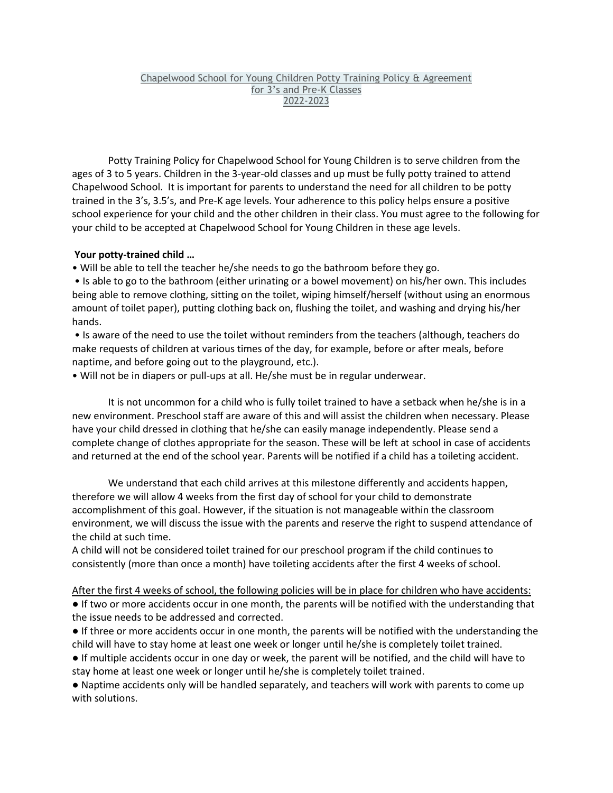## Chapelwood School for Young Children Potty Training Policy & Agreement for 3's and Pre-K Classes 2022-2023

Potty Training Policy for Chapelwood School for Young Children is to serve children from the ages of 3 to 5 years. Children in the 3-year-old classes and up must be fully potty trained to attend Chapelwood School. It is important for parents to understand the need for all children to be potty trained in the 3's, 3.5's, and Pre-K age levels. Your adherence to this policy helps ensure a positive school experience for your child and the other children in their class. You must agree to the following for your child to be accepted at Chapelwood School for Young Children in these age levels.

## **Your potty-trained child …**

• Will be able to tell the teacher he/she needs to go the bathroom before they go.

• Is able to go to the bathroom (either urinating or a bowel movement) on his/her own. This includes being able to remove clothing, sitting on the toilet, wiping himself/herself (without using an enormous amount of toilet paper), putting clothing back on, flushing the toilet, and washing and drying his/her hands.

• Is aware of the need to use the toilet without reminders from the teachers (although, teachers do make requests of children at various times of the day, for example, before or after meals, before naptime, and before going out to the playground, etc.).

• Will not be in diapers or pull-ups at all. He/she must be in regular underwear.

It is not uncommon for a child who is fully toilet trained to have a setback when he/she is in a new environment. Preschool staff are aware of this and will assist the children when necessary. Please have your child dressed in clothing that he/she can easily manage independently. Please send a complete change of clothes appropriate for the season. These will be left at school in case of accidents and returned at the end of the school year. Parents will be notified if a child has a toileting accident.

We understand that each child arrives at this milestone differently and accidents happen, therefore we will allow 4 weeks from the first day of school for your child to demonstrate accomplishment of this goal. However, if the situation is not manageable within the classroom environment, we will discuss the issue with the parents and reserve the right to suspend attendance of the child at such time.

A child will not be considered toilet trained for our preschool program if the child continues to consistently (more than once a month) have toileting accidents after the first 4 weeks of school.

After the first 4 weeks of school, the following policies will be in place for children who have accidents: ● If two or more accidents occur in one month, the parents will be notified with the understanding that the issue needs to be addressed and corrected.

● If three or more accidents occur in one month, the parents will be notified with the understanding the child will have to stay home at least one week or longer until he/she is completely toilet trained.

● If multiple accidents occur in one day or week, the parent will be notified, and the child will have to stay home at least one week or longer until he/she is completely toilet trained.

● Naptime accidents only will be handled separately, and teachers will work with parents to come up with solutions.